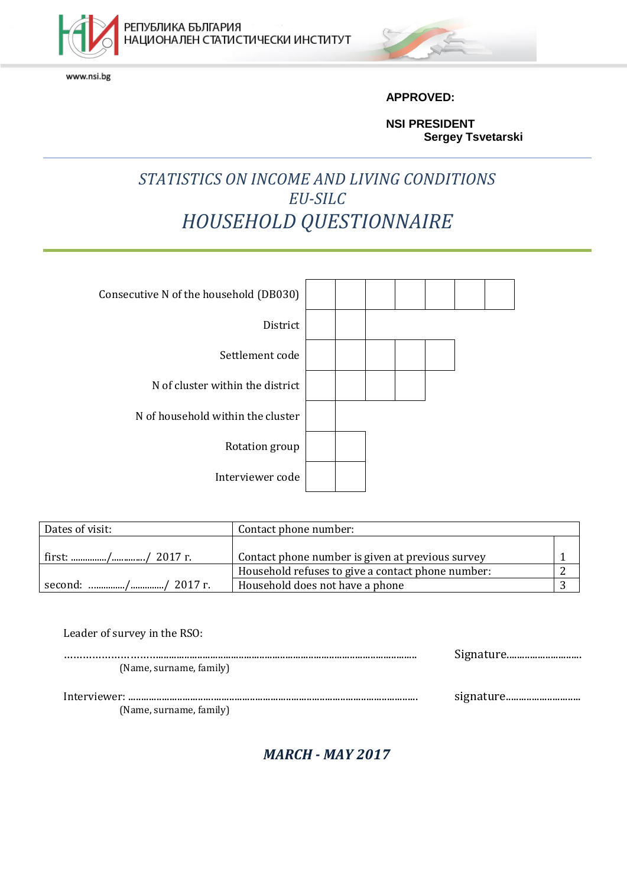

www.nsi.bg



**APPROVED:**

**NSI PRESIDENT Sergey Tsvetarski**

## *STATISTICS ON INCOME AND LIVING CONDITIONS EU-SILC HOUSEHOLD QUESTIONNAIRE*

| Consecutive N of the household (DB030) |  |  |  |  |
|----------------------------------------|--|--|--|--|
| District                               |  |  |  |  |
| Settlement code                        |  |  |  |  |
| N of cluster within the district       |  |  |  |  |
| N of household within the cluster      |  |  |  |  |
| Rotation group                         |  |  |  |  |
| Interviewer code                       |  |  |  |  |

| Dates of visit:    | Contact phone number:                             |  |
|--------------------|---------------------------------------------------|--|
|                    |                                                   |  |
|                    | Contact phone number is given at previous survey  |  |
|                    | Household refuses to give a contact phone number: |  |
| second: // 2017 г. | Household does not have a phone                   |  |

| Leader of survey in the RSO: |  |
|------------------------------|--|
|                              |  |
| (Name, surname, family)      |  |
|                              |  |
| (Name, surname, family)      |  |

*MARCH - MAY 2017*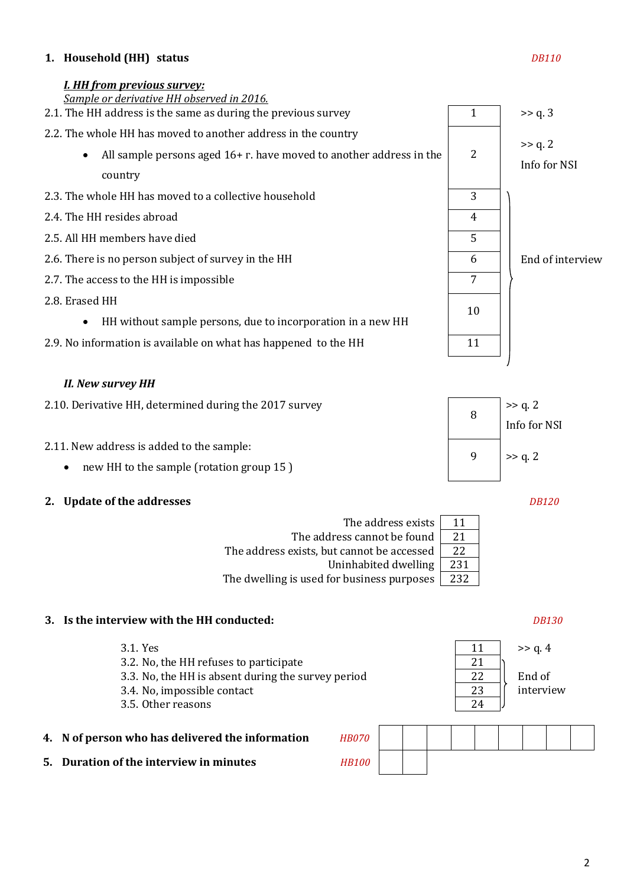### **1. Household (HH) status** *DB110*

### *I. HH from previous survey:*



### *II. New survey HH*

| 2.10. Derivative HH, determined during the 2017 survey | $> q. 2$<br>Info for NSI |
|--------------------------------------------------------|--------------------------|
| 2.11. New address is added to the sample:              | 9   $>> q. 2$            |

- new HH to the sample (rotation group 15)
- **2. Update of the addresses** *DB120*

| The address exists                         | 11  |
|--------------------------------------------|-----|
| The address cannot be found                | 21  |
| The address exists, but cannot be accessed | 22  |
| Uninhabited dwelling                       | 231 |
| The dwelling is used for business purposes | 232 |

### **3. Is the interview with the HH conducted:** *DB130*

- 3.1. Yes  $\begin{array}{|c|c|c|c|c|c|c|c|c|} \hline & 11 & & >> \text{q. 4} \ \hline \end{array}$ 3.2. No, the HH refuses to participate 21 3.3. No, the HH is absent during the survey period 22 3.4. No, impossible contact 23 3.5. Other reasons 24 **4. N** of person who has delivered the information *H*
- **5. Duration of the interview in minutes** *H*

| <b>IB070</b> |  |  |  |  |  |
|--------------|--|--|--|--|--|
| <b>B100</b>  |  |  |  |  |  |

End of interview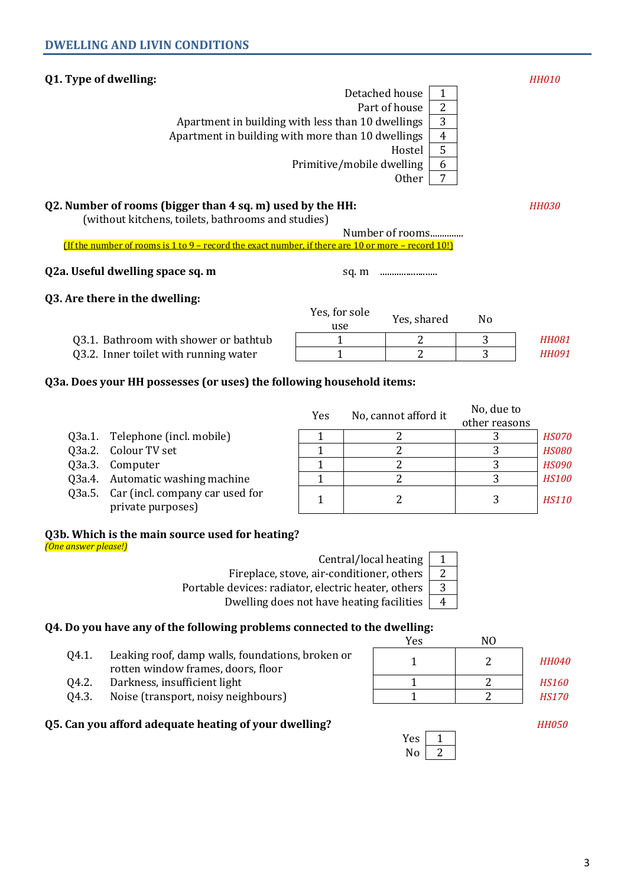### **Q1. Type of dwelling:** *HH010*

| Detached house                                    |               |
|---------------------------------------------------|---------------|
| Part of house                                     | $\mathcal{P}$ |
| Apartment in building with less than 10 dwellings | 3             |
| Apartment in building with more than 10 dwellings | 4             |
| Hostel                                            | 5             |
| Primitive/mobile dwelling                         | 6             |
| Other                                             |               |

### **Q2. Number of rooms (bigger than 4 sq. m) used by the HH:** *HH030*

(without kitchens, toilets, bathrooms and studies)

Number of rooms.............. (If the number of rooms is 1 to 9 – record the exact number, if there are 10 or more – record 10!)

### **Q2a. Useful dwelling space sq. m** sq. m ........................

### **Q3. Are there in the dwelling:**

|                                       | Yes, for sole<br>use | Yes, shared | N٥ |              |
|---------------------------------------|----------------------|-------------|----|--------------|
| Q3.1. Bathroom with shower or bathtub |                      |             |    | <b>HH081</b> |
| Q3.2. Inner toilet with running water |                      |             |    | <b>HH091</b> |

### **Q3a. Does your HH possesses (or uses) the following household items:**

|        |                                                             | Yes | No, cannot afford it | No, due to    |              |
|--------|-------------------------------------------------------------|-----|----------------------|---------------|--------------|
|        |                                                             |     |                      | other reasons |              |
| 03a.1. | Telephone (incl. mobile)                                    |     |                      |               | <b>HS070</b> |
|        | Q3a.2. Colour TV set                                        |     |                      |               | <b>HS080</b> |
|        | Q3a.3. Computer                                             |     |                      |               | <b>HS090</b> |
|        | Q3a.4. Automatic washing machine                            |     |                      |               | <b>HS100</b> |
|        | Q3a.5. Car (incl. company car used for<br>private purposes) |     |                      |               | <b>HS110</b> |

### **Q3b. Which is the main source used for heating?**

*(One answer please!)*

Central/local heating  $\begin{bmatrix} 1 \\ 1 \end{bmatrix}$ 

Fireplace, stove, air-conditioner, others  $\sqrt{2}$ 

Portable devices: radiator, electric heater, others  $\begin{vmatrix} 3 \end{vmatrix}$ 

Dwelling does not have heating facilities  $\begin{bmatrix} 4 \end{bmatrix}$ 

### **Q4. Do you have any of the following problems connected to the dwelling:**

- Q4.1. Leaking roof, damp walls, foundations, broken or rotten window frames, doors, floor
- Q4.2. Darkness, insufficient light
- Q4.3. Noise (transport, noisy neighbours)
- **Q5. Can you afford adequate heating of your dwelling?** *HH050*

| Yes | NΩ |              |
|-----|----|--------------|
|     |    | <b>HH040</b> |
|     |    | <b>HS160</b> |
|     |    | <b>HS170</b> |

| Yes     |  |
|---------|--|
| ٩O<br>Þ |  |
|         |  |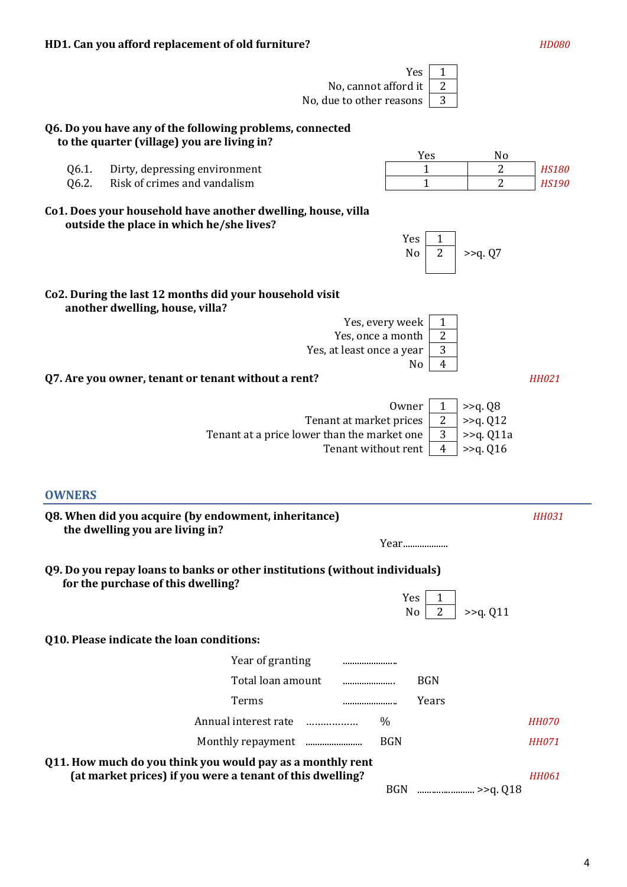|                |                                                                                                                         | No, cannot afford it<br>No, due to other reasons | Yes<br>1<br>$\overline{2}$<br>3  |                       |                              |
|----------------|-------------------------------------------------------------------------------------------------------------------------|--------------------------------------------------|----------------------------------|-----------------------|------------------------------|
|                | Q6. Do you have any of the following problems, connected                                                                |                                                  |                                  |                       |                              |
|                | to the quarter (village) you are living in?                                                                             |                                                  | Yes                              | No                    |                              |
| Q6.1.<br>Q6.2. | Dirty, depressing environment<br>Risk of crimes and vandalism                                                           |                                                  | $\mathbf{1}$<br>$\mathbf{1}$     | 2<br>2                | <b>HS180</b><br><b>HS190</b> |
|                | Co1. Does your household have another dwelling, house, villa<br>outside the place in which he/she lives?                |                                                  |                                  |                       |                              |
|                |                                                                                                                         |                                                  | Yes<br>1<br>$\overline{2}$<br>No | >>q. Q7               |                              |
|                | Co2. During the last 12 months did your household visit<br>another dwelling, house, villa?                              |                                                  |                                  |                       |                              |
|                |                                                                                                                         |                                                  | Yes, every week<br>1             |                       |                              |
|                |                                                                                                                         | Yes, once a month<br>Yes, at least once a year   | 2<br>3                           |                       |                              |
|                |                                                                                                                         |                                                  | $\overline{4}$<br>No             |                       |                              |
|                | Q7. Are you owner, tenant or tenant without a rent?                                                                     |                                                  |                                  |                       | <b>HH021</b>                 |
|                |                                                                                                                         |                                                  | Owner<br>$\mathbf{1}$            | >>q. Q8               |                              |
|                |                                                                                                                         | Tenant at market prices                          | 2                                | >>q. Q12              |                              |
|                |                                                                                                                         | Tenant at a price lower than the market one      | 3                                | >>q. Q11a             |                              |
|                |                                                                                                                         | Tenant without rent                              | $\overline{4}$                   | >> <sub>q</sub> . Q16 |                              |
|                |                                                                                                                         |                                                  |                                  |                       |                              |
| <b>OWNERS</b>  |                                                                                                                         |                                                  |                                  |                       |                              |
|                | Q8. When did you acquire (by endowment, inheritance)<br>the dwelling you are living in?                                 |                                                  |                                  |                       | <b>HH031</b>                 |
|                |                                                                                                                         |                                                  | Year                             |                       |                              |
|                | Q9. Do you repay loans to banks or other institutions (without individuals)<br>for the purchase of this dwelling?       |                                                  |                                  |                       |                              |
|                |                                                                                                                         |                                                  | Yes<br>1<br>2<br>No              | >>q. Q11              |                              |
|                | Q10. Please indicate the loan conditions:                                                                               |                                                  |                                  |                       |                              |
|                | Year of granting                                                                                                        |                                                  |                                  |                       |                              |
|                | Total loan amount                                                                                                       |                                                  | <b>BGN</b>                       |                       |                              |
|                | Terms                                                                                                                   |                                                  | Years                            |                       |                              |
|                | Annual interest rate                                                                                                    |                                                  | $\frac{0}{0}$                    |                       | <b>HH070</b>                 |
|                |                                                                                                                         |                                                  | <b>BGN</b>                       |                       | <b>HH071</b>                 |
|                | Q11. How much do you think you would pay as a monthly rent<br>(at market prices) if you were a tenant of this dwelling? |                                                  |                                  |                       | <b>HH061</b>                 |

BGN ........................ >>q. Q18

4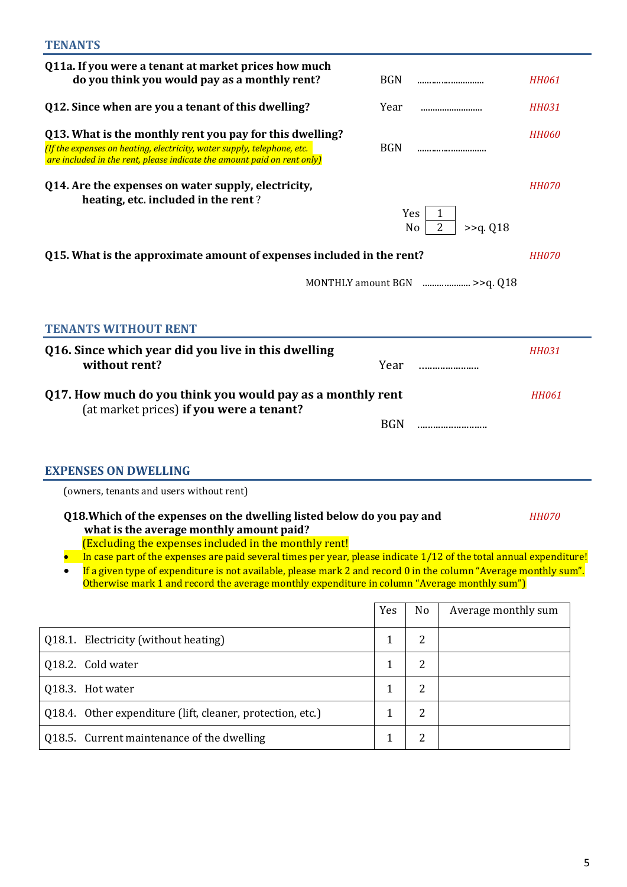| Q11a. If you were a tenant at market prices how much                                                                                                                                                                                                                                                                                                                                                                                                                                                                   |              |                  |                             |              |
|------------------------------------------------------------------------------------------------------------------------------------------------------------------------------------------------------------------------------------------------------------------------------------------------------------------------------------------------------------------------------------------------------------------------------------------------------------------------------------------------------------------------|--------------|------------------|-----------------------------|--------------|
| do you think you would pay as a monthly rent?                                                                                                                                                                                                                                                                                                                                                                                                                                                                          | <b>BGN</b>   |                  |                             | <b>HH061</b> |
| Q12. Since when are you a tenant of this dwelling?                                                                                                                                                                                                                                                                                                                                                                                                                                                                     | Year         |                  |                             | <b>HH031</b> |
| Q13. What is the monthly rent you pay for this dwelling?<br>(If the expenses on heating, electricity, water supply, telephone, etc.<br>are included in the rent, please indicate the amount paid on rent only)                                                                                                                                                                                                                                                                                                         | <b>BGN</b>   |                  |                             | <b>HH060</b> |
| Q14. Are the expenses on water supply, electricity,<br>heating, etc. included in the rent?                                                                                                                                                                                                                                                                                                                                                                                                                             |              | <b>Yes</b><br>No | 2<br>$>>q$ . Q18            | <i>HH070</i> |
| Q15. What is the approximate amount of expenses included in the rent?                                                                                                                                                                                                                                                                                                                                                                                                                                                  |              |                  |                             | <i>HH070</i> |
|                                                                                                                                                                                                                                                                                                                                                                                                                                                                                                                        |              |                  | MONTHLY amount BGN >>q. Q18 |              |
|                                                                                                                                                                                                                                                                                                                                                                                                                                                                                                                        |              |                  |                             |              |
| <b>TENANTS WITHOUT RENT</b>                                                                                                                                                                                                                                                                                                                                                                                                                                                                                            |              |                  |                             |              |
| Q16. Since which year did you live in this dwelling<br>without rent?                                                                                                                                                                                                                                                                                                                                                                                                                                                   | Year         |                  |                             | <b>HH031</b> |
| Q17. How much do you think you would pay as a monthly rent                                                                                                                                                                                                                                                                                                                                                                                                                                                             |              |                  |                             | <b>HH061</b> |
| (at market prices) if you were a tenant?                                                                                                                                                                                                                                                                                                                                                                                                                                                                               |              |                  |                             |              |
| <b>EXPENSES ON DWELLING</b>                                                                                                                                                                                                                                                                                                                                                                                                                                                                                            |              |                  |                             |              |
| (owners, tenants and users without rent)                                                                                                                                                                                                                                                                                                                                                                                                                                                                               |              |                  |                             |              |
| Q18. Which of the expenses on the dwelling listed below do you pay and<br>what is the average monthly amount paid?<br>(Excluding the expenses included in the monthly rent!<br>In case part of the expenses are paid several times per year, please indicate 1/12 of the total annual expenditure!<br>If a given type of expenditure is not available, please mark 2 and record 0 in the column "Average monthly sum".<br>Otherwise mark 1 and record the average monthly expenditure in column "Average monthly sum") |              |                  |                             | <i>HH070</i> |
|                                                                                                                                                                                                                                                                                                                                                                                                                                                                                                                        | Yes          | No               | Average monthly sum         |              |
| Q18.1. Electricity (without heating)                                                                                                                                                                                                                                                                                                                                                                                                                                                                                   | $\mathbf{1}$ | 2                |                             |              |
| Q18.2. Cold water                                                                                                                                                                                                                                                                                                                                                                                                                                                                                                      | $\mathbf{1}$ | $\overline{2}$   |                             |              |
| Q18.3. Hot water                                                                                                                                                                                                                                                                                                                                                                                                                                                                                                       | $\mathbf{1}$ | $\overline{2}$   |                             |              |
| Q18.4. Other expenditure (lift, cleaner, protection, etc.)                                                                                                                                                                                                                                                                                                                                                                                                                                                             | $\mathbf{1}$ | $\overline{2}$   |                             |              |
| Q18.5. Current maintenance of the dwelling                                                                                                                                                                                                                                                                                                                                                                                                                                                                             | $\mathbf{1}$ | $\overline{2}$   |                             |              |

5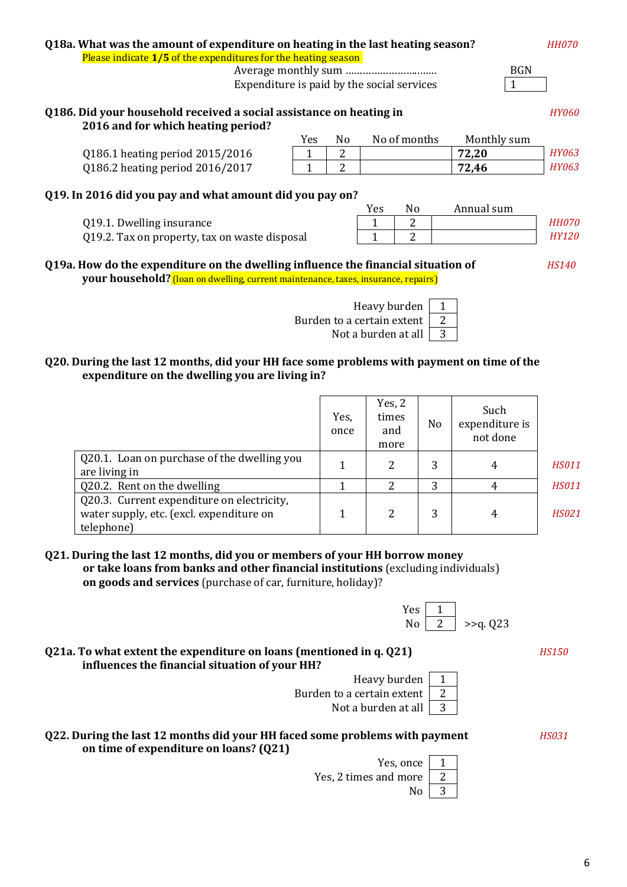6

| Q18a. What was the amount of expenditure on heating in the last heating season?<br>Please indicate 1/5 of the expenditures for the heating season                       |      |     |      |                | <b>HH070</b> |                     |
|-------------------------------------------------------------------------------------------------------------------------------------------------------------------------|------|-----|------|----------------|--------------|---------------------|
| <b>BGN</b>                                                                                                                                                              |      |     |      |                |              |                     |
| Expenditure is paid by the social services                                                                                                                              |      |     |      |                |              |                     |
|                                                                                                                                                                         |      |     |      |                |              |                     |
| Q186. Did your household received a social assistance on heating in                                                                                                     |      |     |      |                |              | <i><b>HY060</b></i> |
| 2016 and for which heating period?                                                                                                                                      |      |     |      |                |              |                     |
|                                                                                                                                                                         | Yes. | No. |      | No of months   | Monthly sum  |                     |
| Q186.1 heating period 2015/2016                                                                                                                                         | 1    | 2   |      |                | 72,20        | <b>HY063</b>        |
| Q186.2 heating period 2016/2017                                                                                                                                         | 1    | 2   |      |                | 72,46        | <b>HY063</b>        |
| Q19. In 2016 did you pay and what amount did you pay on?                                                                                                                |      |     |      |                |              |                     |
|                                                                                                                                                                         |      |     | Yes. | N <sub>0</sub> | Annual sum   |                     |
| Q19.1. Dwelling insurance                                                                                                                                               |      |     |      | 2              |              | <b>HH070</b>        |
| 019.2. Tax on property, tax on waste disposal<br>2                                                                                                                      |      |     |      | <b>HY120</b>   |              |                     |
| Q19a. How do the expenditure on the dwelling influence the financial situation of<br>your household? (loan on dwelling, current maintenance, taxes, insurance, repairs) |      |     |      |                | <b>HS140</b> |                     |
|                                                                                                                                                                         |      |     |      |                |              |                     |



### **Q20. During the last 12 months, did your HH face some problems with payment on time of the expenditure on the dwelling you are living in?**

|                                                                                                      | Yes,<br>once | Yes, $2$<br>times<br>and<br>more | N <sub>o</sub> | Such<br>expenditure is<br>not done |              |
|------------------------------------------------------------------------------------------------------|--------------|----------------------------------|----------------|------------------------------------|--------------|
| Q20.1. Loan on purchase of the dwelling you<br>are living in                                         |              |                                  | 3              | 4                                  | <b>HS011</b> |
| Q20.2. Rent on the dwelling                                                                          |              |                                  | 3              | 4                                  | <b>HS011</b> |
| Q20.3. Current expenditure on electricity,<br>water supply, etc. (excl. expenditure on<br>telephone) |              |                                  | 3              | 4                                  | <b>HS021</b> |

Burden to a

- **Q21. During the last 12 months, did you or members of your HH borrow money or take loans from banks and other financial institutions** (excluding individuals) **on goods and services** (purchase of car, furniture, holiday)?
- **Q21а. To what extent the expenditure on loans (mentioned in q. Q21)** *HS150* **influences the financial situation of your HH?**
- **Q22. During the last 12 months did your HH faced some problems with payment** *HS031* **on time of expenditure on loans? (Q21)**

Yes, once 1 Yes, 2 times and more  $\begin{vmatrix} 2 \end{vmatrix}$  $\text{No}$  3

| Heavy burden          |  |
|-----------------------|--|
| i to a certain extent |  |
| Not a burden at all   |  |

Yes  $\begin{array}{|c|c|} \hline 1 \\ \hline No & 2 \end{array}$ 

 $>><sub>q</sub>. Q23$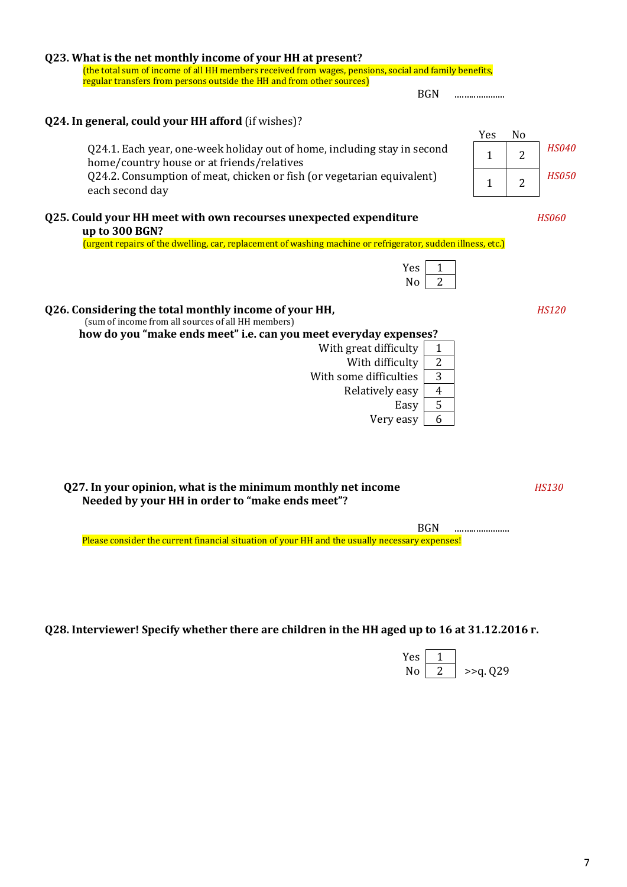| Q23. What is the net monthly income of your HH at present?<br>(the total sum of income of all HH members received from wages, pensions, social and family benefits,<br>regular transfers from persons outside the HH and from other sources)                                                                                                                                                                                                                                                                                           |                                                                                           |                              |
|----------------------------------------------------------------------------------------------------------------------------------------------------------------------------------------------------------------------------------------------------------------------------------------------------------------------------------------------------------------------------------------------------------------------------------------------------------------------------------------------------------------------------------------|-------------------------------------------------------------------------------------------|------------------------------|
| <b>BGN</b>                                                                                                                                                                                                                                                                                                                                                                                                                                                                                                                             |                                                                                           |                              |
| Q24. In general, could your HH afford (if wishes)?<br>Q24.1. Each year, one-week holiday out of home, including stay in second<br>home/country house or at friends/relatives<br>Q24.2. Consumption of meat, chicken or fish (or vegetarian equivalent)<br>each second day                                                                                                                                                                                                                                                              | Yes<br>N <sub>o</sub><br>$\overline{2}$<br>$\mathbf{1}$<br>$\overline{2}$<br>$\mathbf{1}$ | <b>HS040</b><br><i>HS050</i> |
| Q25. Could your HH meet with own recourses unexpected expenditure                                                                                                                                                                                                                                                                                                                                                                                                                                                                      |                                                                                           | <b>HS060</b>                 |
| up to 300 BGN?<br>(urgent repairs of the dwelling, car, replacement of washing machine or refrigerator, sudden illness, etc.)<br>Yes<br>1<br>$\overline{2}$<br>N <sub>o</sub><br>Q26. Considering the total monthly income of your HH,<br>(sum of income from all sources of all HH members)<br>how do you "make ends meet" i.e. can you meet everyday expenses?<br>With great difficulty<br>1<br>With difficulty<br>$\overline{2}$<br>With some difficulties<br>3<br>$\overline{4}$<br>Relatively easy<br>5<br>Easy<br>6<br>Very easy |                                                                                           | <b>HS120</b>                 |
| Q27. In your opinion, what is the minimum monthly net income<br>Needed by your HH in order to "make ends meet"?                                                                                                                                                                                                                                                                                                                                                                                                                        |                                                                                           | <b>HS130</b>                 |
| <b>BGN</b><br>Please consider the current financial situation of your HH and the usually necessary expenses!                                                                                                                                                                                                                                                                                                                                                                                                                           |                                                                                           |                              |
|                                                                                                                                                                                                                                                                                                                                                                                                                                                                                                                                        |                                                                                           |                              |

**Q28. Interviewer! Specify whether there are children in the HH aged up to 16 at 31.12.2016 г.**

| <b>Yes</b> |             |
|------------|-------------|
| N٥         | $>>q$ , Q29 |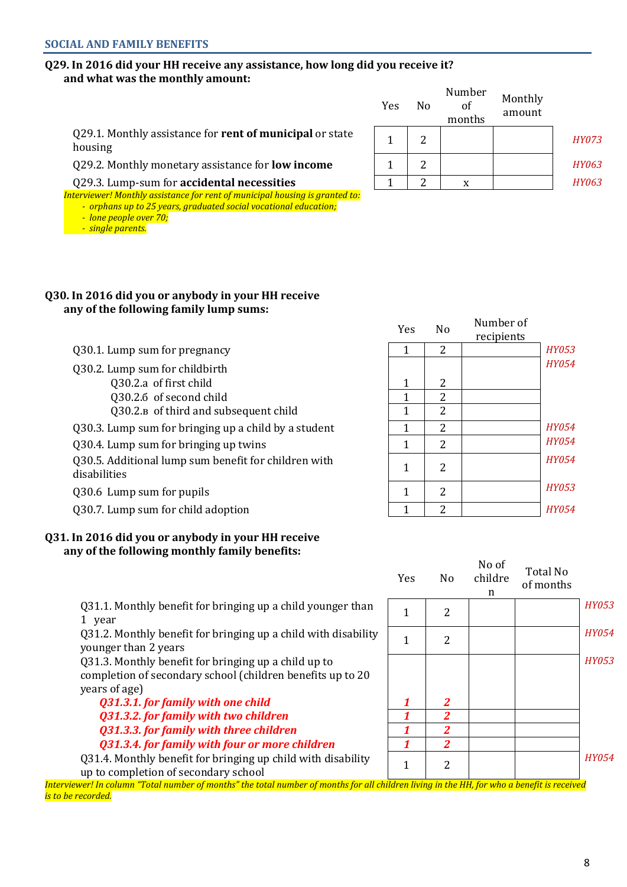### **Q29. In 2016 did your HH receive any assistance, how long did you receive it? and what was the monthly amount:**

|                                                                            | Yes | Nο | NUMBULI<br>οt<br>months | Monthly<br>amount |              |
|----------------------------------------------------------------------------|-----|----|-------------------------|-------------------|--------------|
| Q29.1. Monthly assistance for <b>rent of municipal</b> or state<br>housing |     |    |                         |                   | <i>HY073</i> |
| Q29.2. Monthly monetary assistance for <b>low income</b>                   |     |    |                         |                   | <b>HY063</b> |
| Q29.3. Lump-sum for accidental necessities                                 |     |    |                         |                   | <i>HY063</i> |

*Interviewer! Monthly assistance for rent of municipal housing is granted to:*

*- orphans up to 25 years, graduated social vocational education;*

- *lone people over 70;*
- *single parents.*

### **Q30. In 2016 did you or anybody in your HH receive any of the following family lump sums:**

Q30.1. Lump sum for pregnancy

Q30.2. Lump sum for childbirth

Q30.2.а of first child

Q30.2.6 of second child

Q30.2.<sub>в</sub> of third and subsequent child

Q30.3. Lump sum for bringing up a child by a student

Q30.4. Lump sum for bringing up twins

Q30.5. Additional lump sum benefit for children with  $\begin{array}{|c|c|c|c|}\n\hline\n\text{1} & 2 & 2\n\end{array}$ 

030.6 Lump sum for pupils

Q30.7. Lump sum for child adoption

### **Q31. In 2016 did you or anybody in your HH receive any of the following monthly family benefits:**

Q31.1. Monthly benefit for bringing up a child younger than  $\begin{vmatrix} 1 & 2 \end{vmatrix}$ 

Q31.2. Monthly benefit for bringing up a child with disability  $\begin{vmatrix} 1 & 2 \end{vmatrix}$  2

Q31.3. Monthly benefit for bringing up a child up to completion of secondary school (children benefits up to 20 years of age)

*Q31.3.1. for family with one child 1 2 Q31.3.2. for family with two children 1 2 Q31.3.3. for family with three children 1 2 Q31.3.4. for family with four or more children 1 2*

Q31.4. Monthly benefit for bringing up child with disability  $Q31.4$ . Montiny benefit for bringing up clinic with disability  $1 \ 2$ 

*Interviewer! In column "Total number of months" the total number of months for all children living in the HH, for who a benefit is received is to be recorded.*

| Yes          | No               | Number of<br>recipients |              |
|--------------|------------------|-------------------------|--------------|
| 1            | 2                |                         | <b>HY053</b> |
|              |                  |                         | <b>HY054</b> |
| $\mathbf{1}$ | 2                |                         |              |
| $\mathbf{1}$ | $\boldsymbol{2}$ |                         |              |
| $\mathbf{1}$ | $\overline{2}$   |                         |              |
| $\mathbf 1$  | $\overline{2}$   |                         | <b>HY054</b> |
| $\mathbf{1}$ | $\overline{2}$   |                         | <b>HY054</b> |
| 1            | 2                |                         | <b>HY054</b> |
| 1            | $\overline{2}$   |                         | <b>HY053</b> |
| 1            | $\overline{2}$   |                         | <b>HY054</b> |

Number

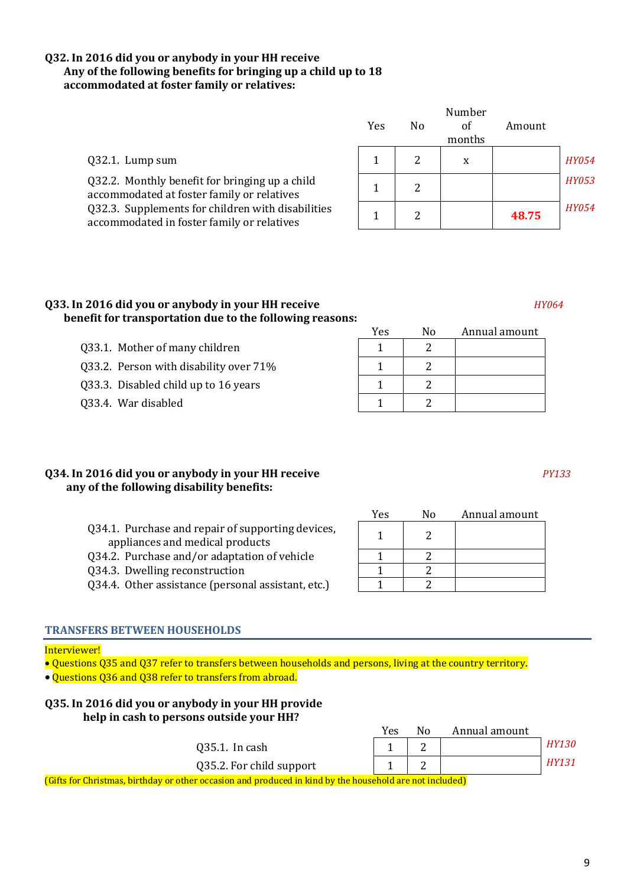### **Q32. In 2016 did you or anybody in your HH receive Any of the following benefits for bringing up a child up to 18 accommodated at foster family or relatives:**

|                                                                                                 | Number |    |        |        |              |
|-------------------------------------------------------------------------------------------------|--------|----|--------|--------|--------------|
|                                                                                                 | Yes    | No | of     | Amount |              |
|                                                                                                 |        |    | months |        |              |
| Q32.1. Lump sum                                                                                 |        |    | X      |        | <i>HY054</i> |
| Q32.2. Monthly benefit for bringing up a child<br>accommodated at foster family or relatives    |        | 2  |        |        | <i>HY053</i> |
| Q32.3. Supplements for children with disabilities<br>accommodated in foster family or relatives |        |    |        | 48.75  | <b>HY054</b> |

### **Q33. In 2016 did you or anybody in your HH receive** *HY064* **benefit for transportation due to the following reasons:**

- $Q33.1.$  Mother of many children  $1 \t 1 \t 2$
- 033.2. Person with disability over  $71\%$  1 2
- Q33.3. Disabled child up to 16 years  $\begin{array}{|c|c|c|c|c|c|c|c|c|} \hline 1 & 2 & 2 \end{array}$
- Q33.4. War disabled 1 2

### **Q34. In 2016 did you or anybody in your HH receive** *PY133* **any of the following disability benefits:**

- Q34.1. Purchase and repair of supporting devices,
- appliances and medical products Q34.2. Purchase and/or adaptation of vehicle
- Q34.3. Dwelling reconstruction
- Q34.4. Other assistance (personal assistant, etc.)

### **TRANSFERS BETWEEN HOUSEHOLDS**

### Interviewer!

- Questions Q35 and Q37 refer to transfers between households and persons, living at the country territory.
- Questions Q36 and Q38 refer to transfers from abroad.

### **Q35. In 2016 did you or anybody in your HH provide help in cash to persons outside your HH?**

|                          | Yes | No | Annual amount                                              |              |
|--------------------------|-----|----|------------------------------------------------------------|--------------|
| $Q35.1.$ In cash         |     | ∼  |                                                            | <i>HY130</i> |
| Q35.2. For child support |     | ⊷  |                                                            | <i>HY131</i> |
| .                        | .   |    | <b><i>Contract Contract Contract Contract Contract</i></b> |              |

(Gifts for Christmas, birthday or other occasion and produced in kind by the household are not included)

| Yes | No | Annual amount |
|-----|----|---------------|
|     | 2  |               |
|     |    |               |

Yes No Annual amount

| r es | <b>INO</b> | Annual amount |
|------|------------|---------------|
|      |            |               |
|      |            |               |
|      |            |               |
|      |            |               |

# 9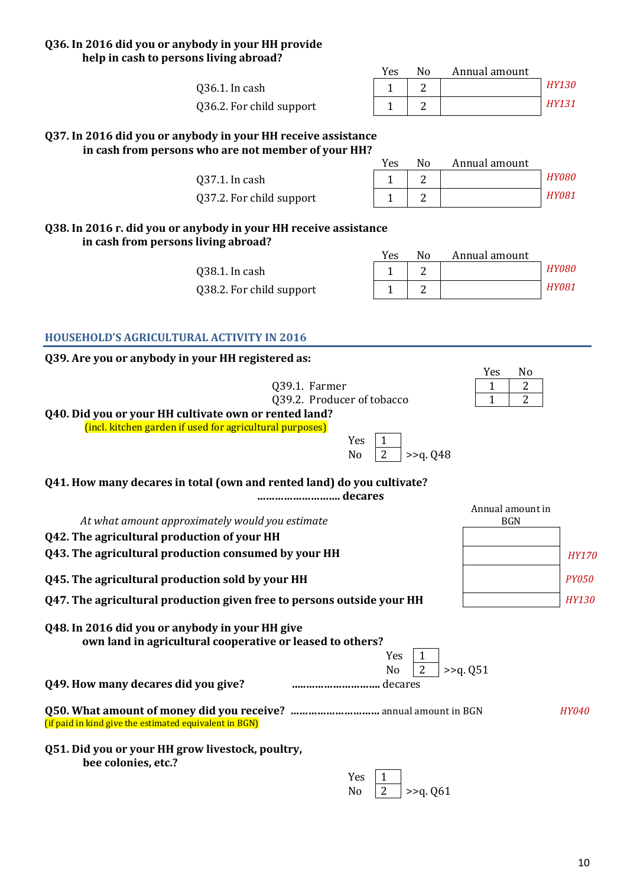### **Q36. In 2016 did you or anybody in your HH provide help in cash to persons living abroad?**

| Yes | N٥ | Annual amount |              |
|-----|----|---------------|--------------|
|     |    |               | <b>HY130</b> |
|     |    |               | <b>HY131</b> |

**Q37. In 2016 did you or anybody in your HH receive assistance in cash from persons who are not member of your HH?**

Q36.1. In cash 1 2 *HY130*

Q37.1. In cash 1 2 *HY080* Q37.2. For child support

Q36.2. For child support

| Yes | N٥ | Annual amount |              |
|-----|----|---------------|--------------|
|     |    |               | <b>HY080</b> |
|     |    |               | <b>HY081</b> |

**Q38. In 2016 г. did you or anybody in your HH receive assistance in cash from persons living abroad?**

> Q38.1. In cash Q38.2. For child support

| Yes | N٥ | Annual amount |              |
|-----|----|---------------|--------------|
|     |    |               | <b>HY080</b> |
|     |    |               | <i>HY081</i> |

**HOUSEHOLD'S AGRICULTURAL ACTIVITY IN 2016**

**Q39. Are you or anybody in your HH registered as:**

| ossine you or anyouay in your infregistered as:                                                              |                |                |                |             |                  |              |
|--------------------------------------------------------------------------------------------------------------|----------------|----------------|----------------|-------------|------------------|--------------|
|                                                                                                              |                |                |                | Yes         | N <sub>0</sub>   |              |
| Q39.1. Farmer                                                                                                |                |                |                | 1           | 2                |              |
| Q39.2. Producer of tobacco                                                                                   |                |                |                | 1           | $\overline{2}$   |              |
| Q40. Did you or your HH cultivate own or rented land?                                                        |                |                |                |             |                  |              |
| (incl. kitchen garden if used for agricultural purposes)                                                     |                |                |                |             |                  |              |
|                                                                                                              | Yes            |                |                |             |                  |              |
|                                                                                                              | N <sub>o</sub> | $\overline{2}$ | $>>q$ . Q48    |             |                  |              |
| Q41. How many decares in total (own and rented land) do you cultivate?                                       |                |                |                |             |                  |              |
|                                                                                                              |                |                |                |             |                  |              |
|                                                                                                              |                |                |                |             | Annual amount in |              |
| At what amount approximately would you estimate                                                              |                |                |                |             | <b>BGN</b>       |              |
| Q42. The agricultural production of your HH                                                                  |                |                |                |             |                  |              |
| Q43. The agricultural production consumed by your HH                                                         |                |                |                |             |                  | <b>HY170</b> |
| Q45. The agricultural production sold by your HH                                                             |                |                |                |             |                  | <b>PY050</b> |
| Q47. The agricultural production given free to persons outside your HH                                       |                |                |                |             |                  | <b>HY130</b> |
| Q48. In 2016 did you or anybody in your HH give<br>own land in agricultural cooperative or leased to others? |                | Yes            | 1              |             |                  |              |
| Q49. How many decares did you give?                                                                          |                | N <sub>o</sub> | $\overline{2}$ | $>>q$ . Q51 |                  |              |
| (if paid in kind give the estimated equivalent in BGN)                                                       |                |                |                |             |                  | <b>HY040</b> |
| Q51. Did you or your HH grow livestock, poultry,<br>bee colonies, etc.?                                      |                |                |                |             |                  |              |
|                                                                                                              | Yes            |                |                |             |                  |              |
|                                                                                                              | N <sub>o</sub> | $\overline{2}$ | >>q. Q61       |             |                  |              |